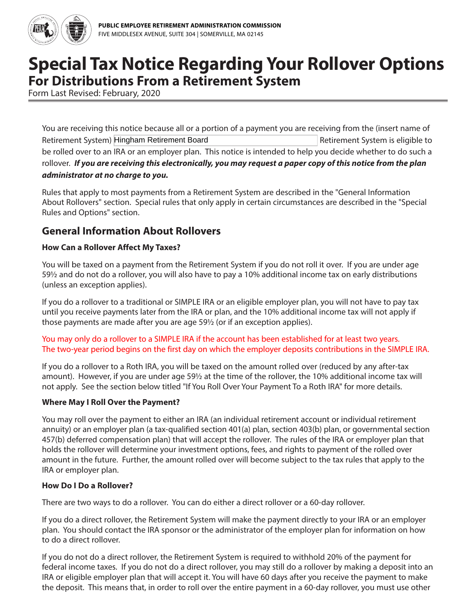

# **Special Tax Notice Regarding Your Rollover Options For Distributions From a Retirement System**

Form Last Revised: February, 2020

You are receiving this notice because all or a portion of a payment you are receiving from the (insert name of Retirement System) Hingham Retirement Board **Example 20 Fernand System is eligible to** Retirement System is eligible to be rolled over to an IRA or an employer plan. This notice is intended to help you decide whether to do such a rollover. *If you are receiving this electronically, you may request a paper copy of this notice from the plan administrator at no charge to you.*

Rules that apply to most payments from a Retirement System are described in the "General Information About Rollovers" section. Special rules that only apply in certain circumstances are described in the "Special Rules and Options" section.

# **General Information About Rollovers**

#### **How Can a Rollover Affect My Taxes?**

You will be taxed on a payment from the Retirement System if you do not roll it over. If you are under age 59½ and do not do a rollover, you will also have to pay a 10% additional income tax on early distributions (unless an exception applies).

If you do a rollover to a traditional or SIMPLE IRA or an eligible employer plan, you will not have to pay tax until you receive payments later from the IRA or plan, and the 10% additional income tax will not apply if those payments are made after you are age 59½ (or if an exception applies).

#### You may only do a rollover to a SIMPLE IRA if the account has been established for at least two years. The two-year period begins on the first day on which the employer deposits contributions in the SIMPLE IRA.

If you do a rollover to a Roth IRA, you will be taxed on the amount rolled over (reduced by any after-tax amount). However, if you are under age 59½ at the time of the rollover, the 10% additional income tax will not apply. See the section below titled "If You Roll Over Your Payment To a Roth IRA" for more details.

#### **Where May I Roll Over the Payment?**

You may roll over the payment to either an IRA (an individual retirement account or individual retirement annuity) or an employer plan (a tax-qualified section 401(a) plan, section 403(b) plan, or governmental section 457(b) deferred compensation plan) that will accept the rollover. The rules of the IRA or employer plan that holds the rollover will determine your investment options, fees, and rights to payment of the rolled over amount in the future. Further, the amount rolled over will become subject to the tax rules that apply to the IRA or employer plan.

#### **How Do I Do a Rollover?**

There are two ways to do a rollover. You can do either a direct rollover or a 60-day rollover.

If you do a direct rollover, the Retirement System will make the payment directly to your IRA or an employer plan. You should contact the IRA sponsor or the administrator of the employer plan for information on how to do a direct rollover.

If you do not do a direct rollover, the Retirement System is required to withhold 20% of the payment for federal income taxes. If you do not do a direct rollover, you may still do a rollover by making a deposit into an IRA or eligible employer plan that will accept it. You will have 60 days after you receive the payment to make the deposit. This means that, in order to roll over the entire payment in a 60-day rollover, you must use other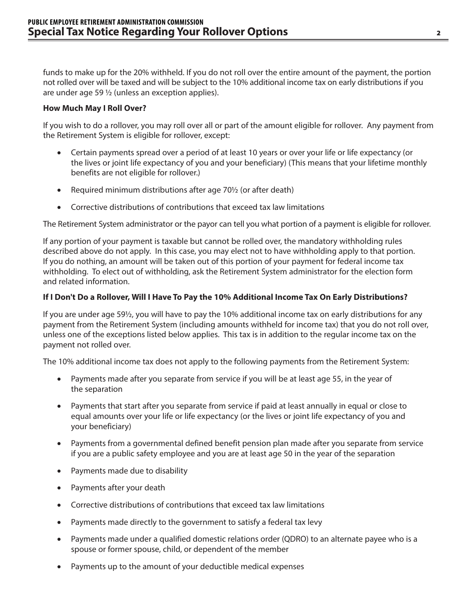funds to make up for the 20% withheld. If you do not roll over the entire amount of the payment, the portion not rolled over will be taxed and will be subject to the 10% additional income tax on early distributions if you are under age 59 ½ (unless an exception applies).

#### **How Much May I Roll Over?**

If you wish to do a rollover, you may roll over all or part of the amount eligible for rollover. Any payment from the Retirement System is eligible for rollover, except:

- Certain payments spread over a period of at least 10 years or over your life or life expectancy (or the lives or joint life expectancy of you and your beneficiary) (This means that your lifetime monthly benefits are not eligible for rollover.)
- Required minimum distributions after age 70½ (or after death)
- Corrective distributions of contributions that exceed tax law limitations

The Retirement System administrator or the payor can tell you what portion of a payment is eligible for rollover.

If any portion of your payment is taxable but cannot be rolled over, the mandatory withholding rules described above do not apply. In this case, you may elect not to have withholding apply to that portion. If you do nothing, an amount will be taken out of this portion of your payment for federal income tax withholding. To elect out of withholding, ask the Retirement System administrator for the election form and related information.

#### **If I Don't Do a Rollover, Will I Have To Pay the 10% Additional Income Tax On Early Distributions?**

If you are under age 59½, you will have to pay the 10% additional income tax on early distributions for any payment from the Retirement System (including amounts withheld for income tax) that you do not roll over, unless one of the exceptions listed below applies. This tax is in addition to the regular income tax on the payment not rolled over.

The 10% additional income tax does not apply to the following payments from the Retirement System:

- Payments made after you separate from service if you will be at least age 55, in the year of the separation
- Payments that start after you separate from service if paid at least annually in equal or close to equal amounts over your life or life expectancy (or the lives or joint life expectancy of you and your beneficiary)
- Payments from a governmental defined benefit pension plan made after you separate from service if you are a public safety employee and you are at least age 50 in the year of the separation
- Payments made due to disability
- Payments after your death
- Corrective distributions of contributions that exceed tax law limitations
- Payments made directly to the government to satisfy a federal tax levy
- Payments made under a qualified domestic relations order (QDRO) to an alternate payee who is a spouse or former spouse, child, or dependent of the member
- Payments up to the amount of your deductible medical expenses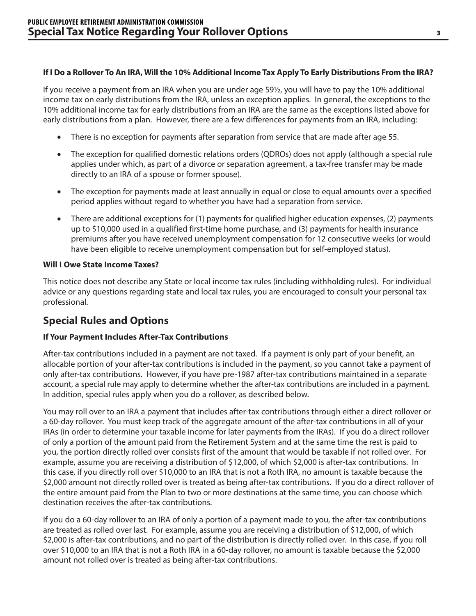#### **If I Do a Rollover To An IRA, Will the 10% Additional Income Tax Apply To Early Distributions From the IRA?**

If you receive a payment from an IRA when you are under age 59½, you will have to pay the 10% additional income tax on early distributions from the IRA, unless an exception applies. In general, the exceptions to the 10% additional income tax for early distributions from an IRA are the same as the exceptions listed above for early distributions from a plan. However, there are a few differences for payments from an IRA, including:

- There is no exception for payments after separation from service that are made after age 55.
- The exception for qualified domestic relations orders (QDROs) does not apply (although a special rule applies under which, as part of a divorce or separation agreement, a tax-free transfer may be made directly to an IRA of a spouse or former spouse).
- The exception for payments made at least annually in equal or close to equal amounts over a specified period applies without regard to whether you have had a separation from service.
- There are additional exceptions for (1) payments for qualified higher education expenses, (2) payments up to \$10,000 used in a qualified first-time home purchase, and (3) payments for health insurance premiums after you have received unemployment compensation for 12 consecutive weeks (or would have been eligible to receive unemployment compensation but for self-employed status).

#### **Will I Owe State Income Taxes?**

This notice does not describe any State or local income tax rules (including withholding rules). For individual advice or any questions regarding state and local tax rules, you are encouraged to consult your personal tax professional.

# **Special Rules and Options**

#### **If Your Payment Includes After-Tax Contributions**

After-tax contributions included in a payment are not taxed. If a payment is only part of your benefit, an allocable portion of your after-tax contributions is included in the payment, so you cannot take a payment of only after-tax contributions. However, if you have pre-1987 after-tax contributions maintained in a separate account, a special rule may apply to determine whether the after-tax contributions are included in a payment. In addition, special rules apply when you do a rollover, as described below.

You may roll over to an IRA a payment that includes after-tax contributions through either a direct rollover or a 60-day rollover. You must keep track of the aggregate amount of the after-tax contributions in all of your IRAs (in order to determine your taxable income for later payments from the IRAs). If you do a direct rollover of only a portion of the amount paid from the Retirement System and at the same time the rest is paid to you, the portion directly rolled over consists first of the amount that would be taxable if not rolled over. For example, assume you are receiving a distribution of \$12,000, of which \$2,000 is after-tax contributions. In this case, if you directly roll over \$10,000 to an IRA that is not a Roth IRA, no amount is taxable because the \$2,000 amount not directly rolled over is treated as being after-tax contributions. If you do a direct rollover of the entire amount paid from the Plan to two or more destinations at the same time, you can choose which destination receives the after-tax contributions.

If you do a 60-day rollover to an IRA of only a portion of a payment made to you, the after-tax contributions are treated as rolled over last. For example, assume you are receiving a distribution of \$12,000, of which \$2,000 is after-tax contributions, and no part of the distribution is directly rolled over. In this case, if you roll over \$10,000 to an IRA that is not a Roth IRA in a 60-day rollover, no amount is taxable because the \$2,000 amount not rolled over is treated as being after-tax contributions.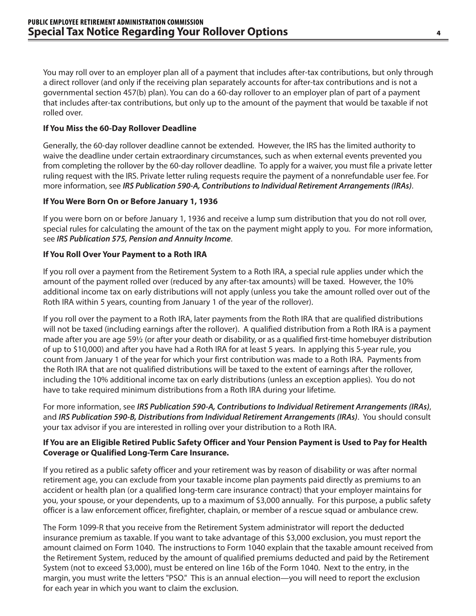You may roll over to an employer plan all of a payment that includes after-tax contributions, but only through a direct rollover (and only if the receiving plan separately accounts for after-tax contributions and is not a governmental section 457(b) plan). You can do a 60-day rollover to an employer plan of part of a payment that includes after-tax contributions, but only up to the amount of the payment that would be taxable if not rolled over.

#### **If You Miss the 60-Day Rollover Deadline**

Generally, the 60-day rollover deadline cannot be extended. However, the IRS has the limited authority to waive the deadline under certain extraordinary circumstances, such as when external events prevented you from completing the rollover by the 60-day rollover deadline. To apply for a waiver, you must file a private letter ruling request with the IRS. Private letter ruling requests require the payment of a nonrefundable user fee. For more information, see *IRS Publication 590-A, Contributions to Individual Retirement Arrangements (IRAs)*.

#### **If You Were Born On or Before January 1, 1936**

If you were born on or before January 1, 1936 and receive a lump sum distribution that you do not roll over, special rules for calculating the amount of the tax on the payment might apply to you. For more information, see *IRS Publication 575, Pension and Annuity Income*.

#### **If You Roll Over Your Payment to a Roth IRA**

If you roll over a payment from the Retirement System to a Roth IRA, a special rule applies under which the amount of the payment rolled over (reduced by any after-tax amounts) will be taxed. However, the 10% additional income tax on early distributions will not apply (unless you take the amount rolled over out of the Roth IRA within 5 years, counting from January 1 of the year of the rollover).

If you roll over the payment to a Roth IRA, later payments from the Roth IRA that are qualified distributions will not be taxed (including earnings after the rollover). A qualified distribution from a Roth IRA is a payment made after you are age 59½ (or after your death or disability, or as a qualified first-time homebuyer distribution of up to \$10,000) and after you have had a Roth IRA for at least 5 years. In applying this 5-year rule, you count from January 1 of the year for which your first contribution was made to a Roth IRA. Payments from the Roth IRA that are not qualified distributions will be taxed to the extent of earnings after the rollover, including the 10% additional income tax on early distributions (unless an exception applies). You do not have to take required minimum distributions from a Roth IRA during your lifetime.

For more information, see *IRS Publication 590-A, Contributions to Individual Retirement Arrangements (IRAs)*, and *IRS Publication 590-B, Distributions from Individual Retirement Arrangements (IRAs)*. You should consult your tax advisor if you are interested in rolling over your distribution to a Roth IRA.

#### **If You are an Eligible Retired Public Safety Officer and Your Pension Payment is Used to Pay for Health Coverage or Qualified Long-Term Care Insurance.**

If you retired as a public safety officer and your retirement was by reason of disability or was after normal retirement age, you can exclude from your taxable income plan payments paid directly as premiums to an accident or health plan (or a qualified long-term care insurance contract) that your employer maintains for you, your spouse, or your dependents, up to a maximum of \$3,000 annually. For this purpose, a public safety officer is a law enforcement officer, firefighter, chaplain, or member of a rescue squad or ambulance crew.

The Form 1099-R that you receive from the Retirement System administrator will report the deducted insurance premium as taxable. If you want to take advantage of this \$3,000 exclusion, you must report the amount claimed on Form 1040. The instructions to Form 1040 explain that the taxable amount received from the Retirement System, reduced by the amount of qualified premiums deducted and paid by the Retirement System (not to exceed \$3,000), must be entered on line 16b of the Form 1040. Next to the entry, in the margin, you must write the letters "PSO." This is an annual election—you will need to report the exclusion for each year in which you want to claim the exclusion.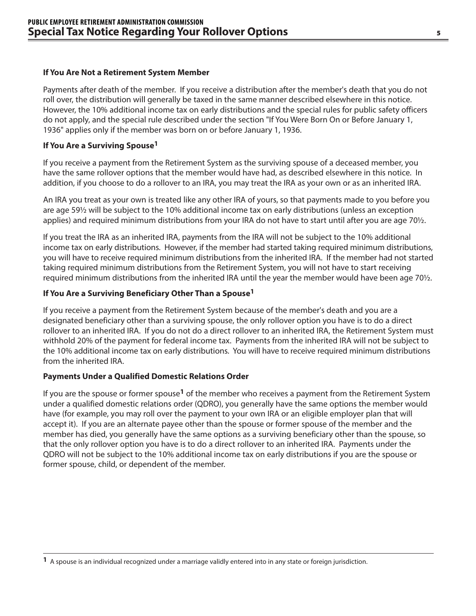#### **If You Are Not a Retirement System Member**

Payments after death of the member. If you receive a distribution after the member's death that you do not roll over, the distribution will generally be taxed in the same manner described elsewhere in this notice. However, the 10% additional income tax on early distributions and the special rules for public safety officers do not apply, and the special rule described under the section "If You Were Born On or Before January 1, 1936" applies only if the member was born on or before January 1, 1936.

#### **If You Are a Surviving Spouse1**

If you receive a payment from the Retirement System as the surviving spouse of a deceased member, you have the same rollover options that the member would have had, as described elsewhere in this notice. In addition, if you choose to do a rollover to an IRA, you may treat the IRA as your own or as an inherited IRA.

An IRA you treat as your own is treated like any other IRA of yours, so that payments made to you before you are age 59½ will be subject to the 10% additional income tax on early distributions (unless an exception applies) and required minimum distributions from your IRA do not have to start until after you are age 70½.

If you treat the IRA as an inherited IRA, payments from the IRA will not be subject to the 10% additional income tax on early distributions. However, if the member had started taking required minimum distributions, you will have to receive required minimum distributions from the inherited IRA. If the member had not started taking required minimum distributions from the Retirement System, you will not have to start receiving required minimum distributions from the inherited IRA until the year the member would have been age 70½.

#### **If You Are a Surviving Beneficiary Other Than a Spouse1**

If you receive a payment from the Retirement System because of the member's death and you are a designated beneficiary other than a surviving spouse, the only rollover option you have is to do a direct rollover to an inherited IRA. If you do not do a direct rollover to an inherited IRA, the Retirement System must withhold 20% of the payment for federal income tax. Payments from the inherited IRA will not be subject to the 10% additional income tax on early distributions. You will have to receive required minimum distributions from the inherited IRA.

#### **Payments Under a Qualified Domestic Relations Order**

If you are the spouse or former spouse**1** of the member who receives a payment from the Retirement System under a qualified domestic relations order (QDRO), you generally have the same options the member would have (for example, you may roll over the payment to your own IRA or an eligible employer plan that will accept it). If you are an alternate payee other than the spouse or former spouse of the member and the member has died, you generally have the same options as a surviving beneficiary other than the spouse, so that the only rollover option you have is to do a direct rollover to an inherited IRA. Payments under the QDRO will not be subject to the 10% additional income tax on early distributions if you are the spouse or former spouse, child, or dependent of the member.

**<sup>1</sup>** A spouse is an individual recognized under a marriage validly entered into in any state or foreign jurisdiction.